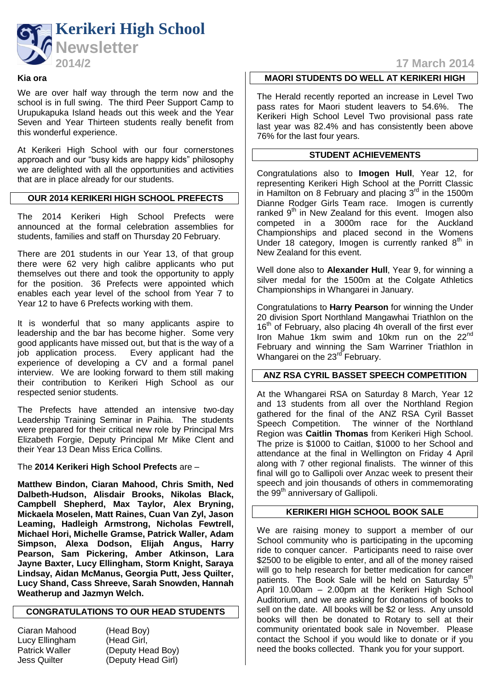

### **Kia ora**

We are over half way through the term now and the school is in full swing. The third Peer Support Camp to Urupukapuka Island heads out this week and the Year Seven and Year Thirteen students really benefit from this wonderful experience.

At Kerikeri High School with our four cornerstones approach and our "busy kids are happy kids" philosophy we are delighted with all the opportunities and activities that are in place already for our students.

## **OUR 2014 KERIKERI HIGH SCHOOL PREFECTS**

The 2014 Kerikeri High School Prefects were announced at the formal celebration assemblies for students, families and staff on Thursday 20 February.

There are 201 students in our Year 13, of that group there were 62 very high calibre applicants who put themselves out there and took the opportunity to apply for the position. 36 Prefects were appointed which enables each year level of the school from Year 7 to Year 12 to have 6 Prefects working with them.

It is wonderful that so many applicants aspire to leadership and the bar has become higher. Some very good applicants have missed out, but that is the way of a job application process. Every applicant had the experience of developing a CV and a formal panel interview. We are looking forward to them still making their contribution to Kerikeri High School as our respected senior students.

The Prefects have attended an intensive two-day Leadership Training Seminar in Paihia. The students were prepared for their critical new role by Principal Mrs Elizabeth Forgie, Deputy Principal Mr Mike Clent and their Year 13 Dean Miss Erica Collins.

The **2014 Kerikeri High School Prefects** are –

**Matthew Bindon, Ciaran Mahood, Chris Smith, Ned Dalbeth-Hudson, Alisdair Brooks, Nikolas Black, Campbell Shepherd, Max Taylor, Alex Bryning, Mickaela Moselen, Matt Raines, Cuan Van Zyl, Jason Leaming, Hadleigh Armstrong, Nicholas Fewtrell, Michael Hori, Michelle Gramse, Patrick Waller, Adam Simpson, Alexa Dodson, Elijah Angus, Harry Pearson, Sam Pickering, Amber Atkinson, Lara Jayne Baxter, Lucy Ellingham, Storm Knight, Saraya Lindsay, Aidan McManus, Georgia Putt, Jess Quilter, Lucy Shand, Cass Shreeve, Sarah Snowden, Hannah Weatherup and Jazmyn Welch.**

## **CONGRATULATIONS TO OUR HEAD STUDENTS**

| Ciaran Mahood         |
|-----------------------|
| Lucy Ellingham        |
| <b>Patrick Waller</b> |
| <b>Jess Quilter</b>   |

(Head Boy) (Head Girl, (Deputy Head Boy) (Deputy Head Girl)

**2014/2 17 March 2014**

# **MAORI STUDENTS DO WELL AT KERIKERI HIGH**

The Herald recently reported an increase in Level Two pass rates for Maori student leavers to 54.6%. The Kerikeri High School Level Two provisional pass rate last year was 82.4% and has consistently been above 76% for the last four years.

## **STUDENT ACHIEVEMENTS**

Congratulations also to **Imogen Hull**, Year 12, for representing Kerikeri High School at the Porritt Classic in Hamilton on 8 February and placing  $3<sup>rd</sup>$  in the 1500m Dianne Rodger Girls Team race. Imogen is currently ranked  $9<sup>th</sup>$  in New Zealand for this event. Imogen also competed in a 3000m race for the Auckland Championships and placed second in the Womens Under 18 category, Imogen is currently ranked  $8<sup>th</sup>$  in New Zealand for this event.

Well done also to **Alexander Hull**, Year 9, for winning a silver medal for the 1500m at the Colgate Athletics Championships in Whangarei in January.

Congratulations to **Harry Pearson** for winning the Under 20 division Sport Northland Mangawhai Triathlon on the  $16<sup>th</sup>$  of February, also placing 4h overall of the first ever Iron Mahue 1km swim and 10km run on the 22<sup>nd</sup> February and winning the Sam Warriner Triathlon in Whangarei on the 23<sup>rd</sup> February.

## **ANZ RSA CYRIL BASSET SPEECH COMPETITION**

At the Whangarei RSA on Saturday 8 March, Year 12 and 13 students from all over the Northland Region gathered for the final of the ANZ RSA Cyril Basset Speech Competition. The winner of the Northland Region was **Caitlin Thomas** from Kerikeri High School. The prize is \$1000 to Caitlan, \$1000 to her School and attendance at the final in Wellington on Friday 4 April along with 7 other regional finalists. The winner of this final will go to Gallipoli over Anzac week to present their speech and join thousands of others in commemorating the  $99<sup>th</sup>$  anniversary of Gallipoli.

# **KERIKERI HIGH SCHOOL BOOK SALE**

We are raising money to support a member of our School community who is participating in the upcoming ride to conquer cancer. Participants need to raise over \$2500 to be eligible to enter, and all of the money raised will go to help research for better medication for cancer patients. The Book Sale will be held on Saturday 5<sup>th</sup> April 10.00am – 2.00pm at the Kerikeri High School Auditorium, and we are asking for donations of books to sell on the date. All books will be \$2 or less. Any unsold books will then be donated to Rotary to sell at their community orientated book sale in November. Please contact the School if you would like to donate or if you need the books collected. Thank you for your support.